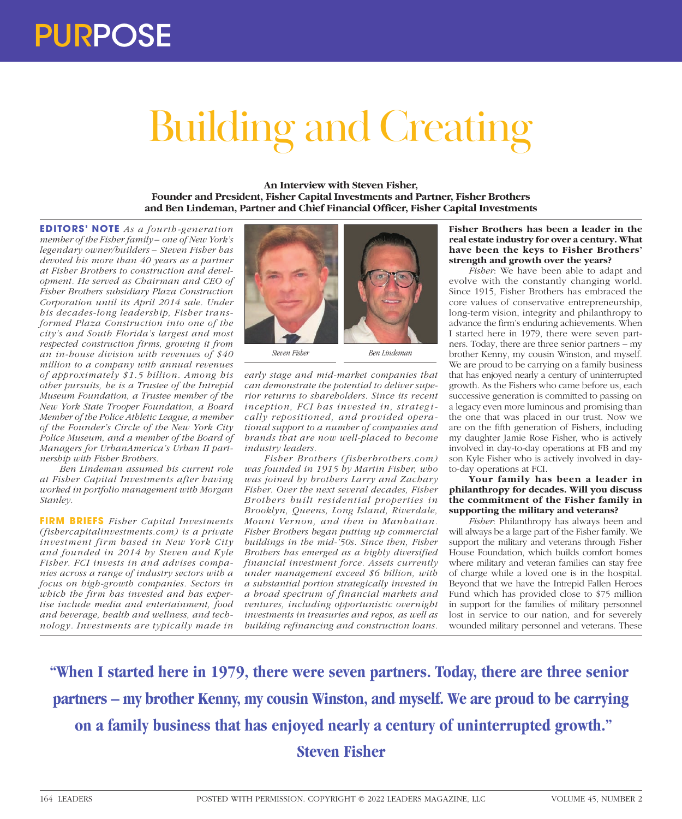# Building and Creating

**An Interview with Steven Fisher, Founder and President, Fisher Capital Investments and Partner, Fisher Brothers and Ben Lindeman, Partner and Chief Financial Officer, Fisher Capital Investments**

**EDITORS' NOTE** *As a fourth-generation member of the Fisher family – one of New York's legendary owner/builders – Steven Fisher has devoted his more than 40 years as a partner at Fisher Brothers to construction and development. He served as Chairman and CEO of Fisher Brothers subsidiary Plaza Construction Corporation until its April 2014 sale. Under his decades-long leadership, Fisher transformed Plaza Construction into one of the city's and South Florida's largest and most respected construction firms, growing it from an in-house division with revenues of \$40 million to a company with annual revenues of approximately \$1.5 billion. Among his other pursuits, he is a Trustee of the Intrepid Museum Foundation, a Trustee member of the New York State Trooper Foundation, a Board Member of the Police Athletic League, a member of the Founder's Circle of the New York City Police Museum, and a member of the Board of Managers for UrbanAmerica's Urban II partnership with Fisher Brothers.*

*Ben Lindeman assumed his current role at Fisher Capital Investments after having worked in portfolio management with Morgan Stanley.*

**FIRM BRIEFS** *Fisher Capital Investments (fishercapitalinvestments.com) is a private investment firm based in New York City and founded in 2014 by Steven and Kyle Fisher. FCI invests in and advises companies across a range of industry sectors with a focus on high-growth companies. Sectors in which the firm has invested and has expertise include media and entertainment, food and beverage, health and wellness, and technology. Investments are typically made in* 



*Steven Fisher Ben Lindeman*

*early stage and mid-market companies that can demonstrate the potential to deliver superior returns to shareholders. Since its recent inception, FCI has invested in, strategically repositioned, and provided operational support to a number of companies and brands that are now well-placed to become industry leaders.*

*Fisher Brothers (fisherbrothers.com) was founded in 1915 by Martin Fisher, who was joined by brothers Larry and Zachary Fisher. Over the next several decades, Fisher Brothers built residential properties in Brooklyn, Queens, Long Island, Riverdale, Mount Vernon, and then in Manhattan. Fisher Brothers began putting up commercial buildings in the mid-'50s. Since then, Fisher Brothers has emerged as a highly diversified financial investment force. Assets currently under management exceed \$6 billion, with a substantial portion strategically invested in a broad spectrum of financial markets and ventures, including opportunistic overnight investments in treasuries and repos, as well as building refinancing and construction loans.*

**Fisher Brothers has been a leader in the real estate industry for over a century. What have been the keys to Fisher Brothers' strength and growth over the years?**

*Fisher*: We have been able to adapt and evolve with the constantly changing world. Since 1915, Fisher Brothers has embraced the core values of conservative entrepreneurship, long-term vision, integrity and philanthropy to advance the firm's enduring achievements. When I started here in 1979, there were seven partners. Today, there are three senior partners – my brother Kenny, my cousin Winston, and myself. We are proud to be carrying on a family business that has enjoyed nearly a century of uninterrupted growth. As the Fishers who came before us, each successive generation is committed to passing on a legacy even more luminous and promising than the one that was placed in our trust. Now we are on the fifth generation of Fishers, including my daughter Jamie Rose Fisher, who is actively involved in day-to-day operations at FB and my son Kyle Fisher who is actively involved in dayto-day operations at FCI.

**Your family has been a leader in philanthropy for decades. Will you discuss the commitment of the Fisher family in supporting the military and veterans?**

*Fisher*: Philanthropy has always been and will always be a large part of the Fisher family. We support the military and veterans through Fisher House Foundation, which builds comfort homes where military and veteran families can stay free of charge while a loved one is in the hospital. Beyond that we have the Intrepid Fallen Heroes Fund which has provided close to \$75 million in support for the families of military personnel lost in service to our nation, and for severely wounded military personnel and veterans. These

**"When I started here in 1979, there were seven partners. Today, there are three senior partners – my brother Kenny, my cousin Winston, and myself. We are proud to be carrying on a family business that has enjoyed nearly a century of uninterrupted growth." Steven Fisher**